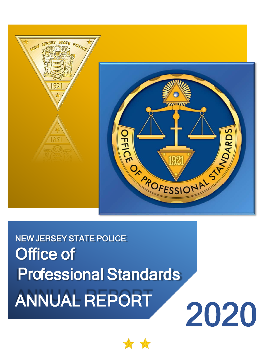

NEW JERSEY STATE POLICE **Office of** Professional Standards ANNUAL REPORT



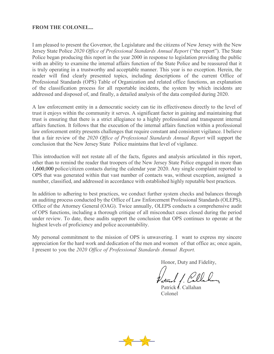#### **FROM THE COLONEL...**

I am pleased to present the Governor, the Legislature and the citizens of New Jersey with the New Jersey State Police *2020 Office of Professional Standards Annual Report* ("the report"). The State Police began producing this report in the year 2000 in response to legislation providing the public with an ability to examine the internal affairs function of the State Police and be reassured that it is truly operating in a trustworthy and acceptable manner. This year is no exception. Herein, the reader will find clearly presented topics, including descriptions of the current Office of Professional Standards (OPS) Table of Organization and related office functions, an explanation of the classification process for all reportable incidents, the system by which incidents are addressed and disposed of, and finally, a detailed analysis of the data compiled during 2020.

A law enforcement entity in a democratic society can tie its effectiveness directly to the level of trust it enjoys within the community it serves. A significant factor in gaining and maintaining that trust is ensuring that there is a strict allegiance to a highly professional and transparent internal affairs function. It follows that the execution of the internal affairs function within a professional law enforcement entity presents challenges that require constant and consistent vigilance. I believe that a fair review of the *2020 Office of Professional Standards Annual Report* will support the conclusion that the New Jersey State Police maintains that level of vigilance.

This introduction will not restate all of the facts, figures and analysis articulated in this report, other than to remind the reader that troopers of the New Jersey State Police engaged in more than 1,600,000 police/citizen contacts during the calendar year 2020. Any single complaint reported to OPS that was generated within that vast number of contacts was, without exception, assigned a number, classified, and addressed in accordance with established highly reputable best practices.

In addition to adhering to best practices, we conduct further system checks and balances through an auditing process conducted by the Office of Law Enforcement Professional Standards (OLEPS), Office of the Attorney General (OAG). Twice annually, OLEPS conducts a comprehensive audit of OPS functions, including a thorough critique of all misconduct cases closed during the period under review. To date, these audits support the conclusion that OPS continues to operate at the highest levels of proficiency and police accountability.

My personal commitment to the mission of OPS is unwavering. I want to express my sincere appreciation for the hard work and dedication of the men and women of that office as; once again, I present to you the *2020 Office of Professional Standards Annual Report.*

Honor, Duty and Fidelity,

und 1. Calla

Patrick J. Callahan Colonel

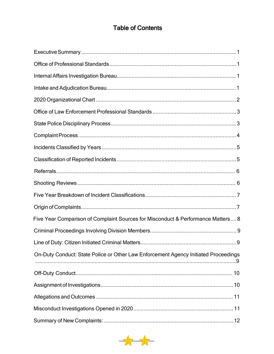# **Table of Contents**

| Five Year Comparison of Complaint Sources for Misconduct & Performance Matters 8    |  |
|-------------------------------------------------------------------------------------|--|
|                                                                                     |  |
|                                                                                     |  |
| On-Duty Conduct: State Police or Other Law Enforcement Agency Initiated Proceedings |  |
|                                                                                     |  |
|                                                                                     |  |
|                                                                                     |  |
|                                                                                     |  |
|                                                                                     |  |

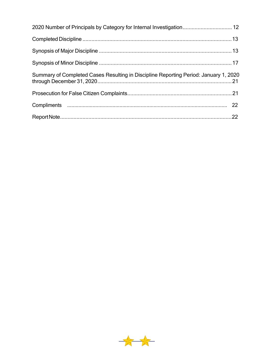| 2020 Number of Principals by Category for Internal Investigation 12                  |  |
|--------------------------------------------------------------------------------------|--|
|                                                                                      |  |
|                                                                                      |  |
|                                                                                      |  |
| Summary of Completed Cases Resulting in Discipline Reporting Period: January 1, 2020 |  |
|                                                                                      |  |
|                                                                                      |  |
|                                                                                      |  |

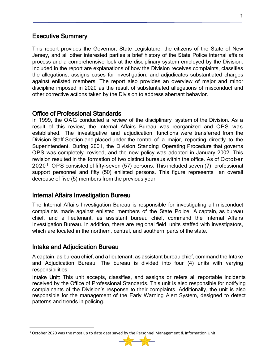### <span id="page-6-0"></span>Executive Summary

This report provides the Governor, State Legislature, the citizens of the State of New Jersey, and all other interested parties a brief history of the State Police internal affairs process and a comprehensive look at the disciplinary system employed by the Division. Included in the report are explanations of how the Division receives complaints, classifies the allegations, assigns cases for investigation, and adjudicates substantiated charges against enlisted members. The report also provides an overview of major and minor discipline imposed in 2020 as the result of substantiated allegations of misconduct and other corrective actions taken by the Division to address aberrant behavior.

#### <span id="page-6-1"></span>Office of Professional Standards

In 1999, the OAG conducted a review of the disciplinary system of the Division. As a result of this review, the Internal Affairs Bureau was reorganized and OPS was established. The investigative and adjudication functions were transferred from the Division Staff Section and placed under the control of a major, reporting directly to the Superintendent. During 2001, the Division Standing Operating Procedure that governs OPS was completely revised, and the new policy was adopted in January 2002. This revision resulted in the formation of two distinct bureaus within the office. As of October 2020[1](#page-6-4), OPS consisted of fifty-seven (57) persons. This included seven (7) professional support personnel and fifty (50) enlisted persons. This figure represents an overall decrease of five (5) members from the previous year.

#### <span id="page-6-2"></span>Internal Affairs Investigation Bureau

The Internal Affairs Investigation Bureau is responsible for investigating all misconduct complaints made against enlisted members of the State Police. A captain, as bureau chief, and a lieutenant, as assistant bureau chief, command the Internal Affairs Investigation Bureau. In addition, there are regional field units staffed with investigators, which are located in the northern, central, and southern parts of the state.

#### <span id="page-6-3"></span>Intake and Adjudication Bureau

A captain, as bureau chief, and a lieutenant, as assistant bureau chief, command the Intake and Adjudication Bureau. The bureau is divided into four (4) units with varying responsibilities:

Intake Unit: This unit accepts, classifies, and assigns or refers all reportable incidents received by the Office of Professional Standards. This unit is also responsible for notifying complainants of the Division's response to their complaints. Additionally, the unit is also responsible for the management of the Early Warning Alert System, designed to detect patterns and trends in policing.

<span id="page-6-4"></span> $1$  October 2020 was the most up to date data saved by the Personnel Management & Information Unit

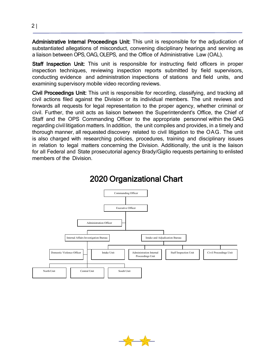Administrative Internal Proceedings Unit: This unit is responsible for the adjudication of substantiated allegations of misconduct, convening disciplinary hearings and serving as a liaison between OPS, OAG, OLEPS, and the Office of Administrative Law (OAL).

Staff Inspection Unit: This unit is responsible for instructing field officers in proper inspection techniques, reviewing inspection reports submitted by field supervisors, conducting evidence and administration inspections of stations and field units, and examining supervisory mobile video recording reviews.

Civil Proceedings Unit: This unit is responsible for recording, classifying, and tracking all civil actions filed against the Division or its individual members. The unit reviews and forwards all requests for legal representation to the proper agency, whether criminal or civil. Further, the unit acts as liaison between the Superintendent's Office, the Chief of Staff and the OPS Commanding Officer to the appropriate personnel within the OAG regarding civil litigation matters. In addition, the unit compiles and provides, in a timely and thorough manner, all requested discovery related to civil litigation to the OAG. The unit is also charged with researching policies, procedures, training and disciplinary issues in relation to legal matters concerning the Division. Additionally, the unit is the liaison for all Federal and State prosecutorial agency Brady/Giglio requests pertaining to enlisted members of the Division.



# 2020 Organizational Chart

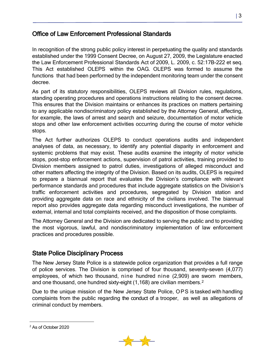## Office of Law Enforcement Professional Standards

<span id="page-8-0"></span> $\overline{a}$ 

In recognition of the strong public policy interest in perpetuating the quality and standards established under the 1999 Consent Decree, on August 27, 2009, the Legislature enacted the Law Enforcement Professional Standards Act of 2009, L. 2009, c. 52:17B-222 et seq. This Act established OLEPS within the OAG. OLEPS was formed to assume the functions that had been performed by the independent monitoring team under the consent decree.

As part of its statutory responsibilities, OLEPS reviews all Division rules, regulations, standing operating procedures and operations instructions relating to the consent decree. This ensures that the Division maintains or enhances its practices on matters pertaining to any applicable nondiscriminatory policy established by the Attorney General, affecting, for example, the laws of arrest and search and seizure, documentation of motor vehicle stops and other law enforcement activities occurring during the course of motor vehicle stops.

The Act further authorizes OLEPS to conduct operations audits and independent analyses of data, as necessary, to identify any potential disparity in enforcement and systemic problems that may exist. These audits examine the integrity of motor vehicle stops, post-stop enforcement actions, supervision of patrol activities, training provided to Division members assigned to patrol duties, investigations of alleged misconduct and other matters affecting the integrity of the Division. Based on its audits, OLEPS is required to prepare a biannual report that evaluates the Division's compliance with relevant performance standards and procedures that include aggregate statistics on the Division's traffic enforcement activities and procedures, segregated by Division station and providing aggregate data on race and ethnicity of the civilians involved. The biannual report also provides aggregate data regarding misconduct investigations, the number of external, internal and total complaints received, and the disposition of those complaints.

The Attorney General and the Division are dedicated to serving the public and to providing the most vigorous, lawful, and nondiscriminatory implementation of law enforcement practices and procedures possible.

## <span id="page-8-1"></span>State Police Disciplinary Process

The New Jersey State Police is a statewide police organization that provides a full range of police services. The Division is comprised of four thousand, seventy-seven (4,077) employees, of which two thousand, nine hundred nine (2,909) are sworn members, and one thousand, one hundred sixty-eight (1,168) are civilian members.<sup>[2](#page-8-2)</sup>

Due to the unique mission of the New Jersey State Police, OPS is tasked with handling complaints from the public regarding the conduct of a trooper, as well as allegations of criminal conduct by members.



<span id="page-8-2"></span><sup>2</sup> As of October 2020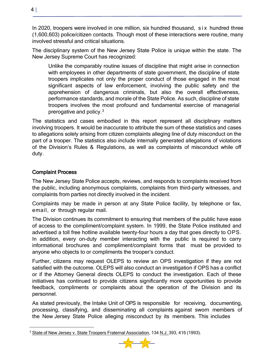In 2020, troopers were involved in one million, six hundred thousand, six hundred three (1,600,603) police/citizen contacts. Though most of these interactions were routine, many involved stressful and critical situations.

The disciplinary system of the New Jersey State Police is unique within the state. The New Jersey Supreme Court has recognized:

Unlike the comparably routine issues of discipline that might arise in connection with employees in other departments of state government, the discipline of state troopers implicates not only the proper conduct of those engaged in the most significant aspects of law enforcement, involving the public safety and the apprehension of dangerous criminals, but also the overall effectiveness, performance standards, and morale of the State Police. As such, discipline of state troopers involves the most profound and fundamental exercise of managerial prerogative and policy.[3](#page-9-1)

The statistics and cases embodied in this report represent all disciplinary matters involving troopers. It would be inaccurate to attribute the sum of these statistics and cases to allegations solely arising from citizen complaints alleging line of duty misconduct on the part of a trooper. The statistics also include internally generated allegations of violations of the Division's Rules & Regulations, as well as complaints of misconduct while off duty.

#### <span id="page-9-0"></span>Complaint Process

The New Jersey State Police accepts, reviews, and responds to complaints received from the public, including anonymous complaints, complaints from third-party witnesses, and complaints from parties not directly involved in the incident.

Complaints may be made in person at any State Police facility, by telephone or fax, email, or through regular mail.

The Division continues its commitment to ensuring that members of the public have ease of access to the compliment/complaint system. In 1999, the State Police instituted and advertised a toll free hotline available twenty-four hours a day that goes directly to OPS. In addition, every on-duty member interacting with the public is required to carry informational brochures and compliment/complaint forms that must be provided to anyone who objects to or compliments the trooper's conduct.

Further, citizens may request OLEPS to review an OPS investigation if they are not satisfied with the outcome. OLEPS will also conduct an investigation if OPS has a conflict or if the Attorney General directs OLEPS to conduct the investigation. Each of these initiatives has continued to provide citizens significantly more opportunities to provide feedback, compliments or complaints about the operation of the Division and its personnel.

As stated previously, the Intake Unit of OPS is responsible for receiving, documenting, processing, classifying, and disseminating all complaints against sworn members of the New Jersey State Police alleging misconduct by its members. This includes

<span id="page-9-1"></span><sup>&</sup>lt;sup>3</sup> State of New Jersey v. State Troopers Fraternal Association, 134 N.J. 393, 416 (1993).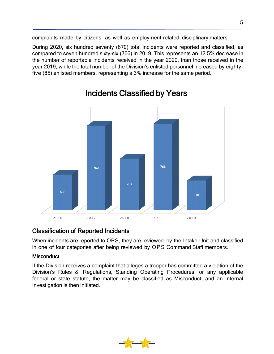complaints made by citizens, as well as employment-related disciplinary matters.

During 2020, six hundred seventy (670) total incidents were reported and classified, as compared to seven hundred sixty-six (766) in 2019. This represents an 12.5% decrease in the number of reportable incidents received in the year 2020, than those received in the year 2019, while the total number of the Division's enlisted personnel increased by eightyfive (85) enlisted members, representing a 3% increase for the same period.

<span id="page-10-0"></span>

# Incidents Classified by Years

## <span id="page-10-1"></span>Classification of Reported Incidents

When incidents are reported to OPS, they are reviewed by the Intake Unit and classified in one of four categories after being reviewed by OPS Command Staff members.

#### **Misconduct**

If the Division receives a complaint that alleges a trooper has committed a violation of the Division's Rules & Regulations, Standing Operating Procedures, or any applicable federal or state statute, the matter may be classified as Misconduct, and an Internal Investigation is then initiated.

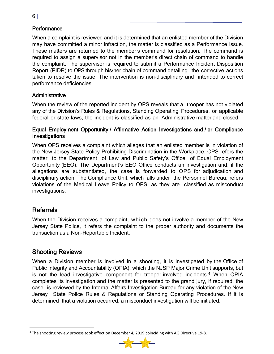When a complaint is reviewed and it is determined that an enlisted member of the Division may have committed a minor infraction, the matter is classified as a Performance Issue. These matters are returned to the member's command for resolution. The command is required to assign a supervisor not in the member's direct chain of command to handle the complaint. The supervisor is required to submit a Performance Incident Disposition Report (PIDR) to OPS through his/her chain of command detailing the corrective actions taken to resolve the issue. The intervention is non-disciplinary and intended to correct performance deficiencies.

#### Administrative

When the review of the reported incident by OPS reveals that a trooper has not violated any of the Division's Rules & Regulations, Standing Operating Procedures, or applicable federal or state laws, the incident is classified as an Administrative matter and closed.

#### Equal Employment Opportunity / Affirmative Action Investigations and / or Compliance **Investigations**

When OPS receives a complaint which alleges that an enlisted member is in violation of the New Jersey State Policy Prohibiting Discrimination in the Workplace, OPS refers the matter to the Department of Law and Public Safety's Office of Equal Employment Opportunity (EEO). The Department's EEO Office conducts an investigation and, if the allegations are substantiated, the case is forwarded to OPS for adjudication and disciplinary action. The Compliance Unit, which falls under the Personnel Bureau, refers violations of the Medical Leave Policy to OPS, as they are classified as misconduct investigations.

## Referrals

When the Division receives a complaint, which does not involve a member of the New Jersey State Police, it refers the complaint to the proper authority and documents the transaction as a Non-Reportable Incident.

## Shooting Reviews

When a Division member is involved in a shooting, it is investigated by the Office of Public Integrity and Accountability (OPIA), which the NJSP Major Crime Unit supports, but is not the lead investigative component for trooper-involved incidents.<sup>[4](#page-11-0)</sup> When OPIA completes its investigation and the matter is presented to the grand jury, if required, the case is reviewed by the Internal Affairs Investigation Bureau for any violation of the New Jersey State Police Rules & Regulations or Standing Operating Procedures. If it is determined that a violation occurred, a misconduct investigation will be initiated.

<span id="page-11-0"></span><sup>4</sup> The shooting review process took effect on December 4, 2019 coinciding with AG Directive 19-8.

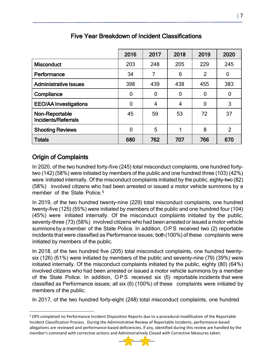<span id="page-12-0"></span>

|                                       | 2016           | 2017 | 2018           | 2019           | 2020           |
|---------------------------------------|----------------|------|----------------|----------------|----------------|
| <b>Misconduct</b>                     | 203            | 248  | 205            | 229            | 245            |
| Performance                           | 34             |      | 6              | $\overline{2}$ | 0              |
| <b>Administrative Issues</b>          | 398            | 439  | 438            | 455            | 383            |
| Compliance                            | $\overline{0}$ | 0    | $\overline{0}$ | $\overline{0}$ | $\overline{0}$ |
| <b>EEO/AA Investigations</b>          | $\overline{0}$ | 4    | 4              | 0              | 3              |
| Non-Reportable<br>Incidents/Referrals | 45             | 59   | 53             | 72             | 37             |
| <b>Shooting Reviews</b>               | $\overline{0}$ | 5    |                | 8              | $\overline{2}$ |
| <b>Totals</b>                         | 680            | 762  | 707            | 766            | 670            |

Five Year Breakdown of Incident Classifications

# <span id="page-12-1"></span>Origin of Complaints

In 2020, of the two hundred forty-five (245) total misconduct complaints, one hundred fortytwo (142) (58%) were initiated by members of the public and one hundred three (103) (42%) were initiated internally. Of the misconduct complaints initiated by the public, eighty-two (82) (58%) involved citizens who had been arrested or issued a motor vehicle summons by a member of the State Police.<sup>[5](#page-12-2)</sup>

In 2019, of the two hundred twenty-nine (229) total misconduct complaints, one hundred twenty-five (125) (55%) were initiated by members of the public and one hundred four (104) (45%) were initiated internally. Of the misconduct complaints initiated by the public, seventy-three (73) (58%) involved citizens who had been arrested or issued a motor vehicle summons by a member of the State Police. In addition, OPS received two (2) reportable incidents that were classified as Performance issues; both (100%) of these complaints were initiated by members of the public.

In 2018, of the two hundred five (205) total misconduct complaints, one hundred twentysix (126) (61%) were initiated by members of the public and seventy-nine (79) (39%) were initiated internally. Of the misconduct complaints initiated by the public, eighty (80) (64%) involved citizens who had been arrested or issued a motor vehicle summons by a member of the State Police. In addition, OPS received six (6) reportable incidents that were classified as Performance issues; all six (6) (100%) of these complaints were initiated by members of the public.

In 2017, of the two hundred forty-eight (248) total misconduct complaints, one hundred



<span id="page-12-2"></span><sup>5</sup> OPS completed no Performance Incident Disposition Reports due to a procedural modification of the Reportable Incident Classification Process. During the Administrative Review of Reportable Incidents, performance-based allegations are reviewed and performance-based deficiencies, if any, identified during this review are handled by the member's command with corrective actions and Administratively Closed with Corrective Measures taken.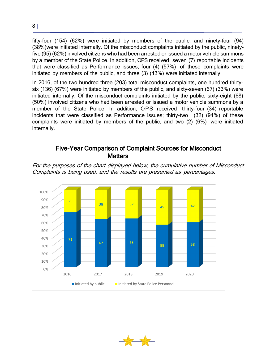fifty-four (154) (62%) were initiated by members of the public, and ninety-four (94) (38%)were initiated internally. Of the misconduct complaints initiated by the public, ninetyfive (95) (62%) involved citizens who had been arrested or issued a motor vehicle summons by a member of the State Police. In addition, OPS received seven (7) reportable incidents that were classified as Performance issues; four (4) (57%) of these complaints were initiated by members of the public, and three (3) (43%) were initiated internally.

In 2016, of the two hundred three (203) total misconduct complaints, one hundred thirtysix (136) (67%) were initiated by members of the public, and sixty-seven (67) (33%) were initiated internally. Of the misconduct complaints initiated by the public, sixty-eight (68) (50%) involved citizens who had been arrested or issued a motor vehicle summons by a member of the State Police. In addition, OPS received thirty-four (34) reportable incidents that were classified as Performance issues; thirty-two (32) (94%) of these complaints were initiated by members of the public, and two (2) (6%) were initiated internally.

#### Five-Year Comparison of Complaint Sources for Misconduct **Matters**



For the purposes of the chart displayed below, the cumulative number of Misconduct Complaints is being used, and the results are presented as percentages.

#### 8 |

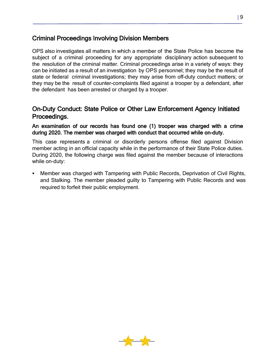## <span id="page-14-0"></span>Criminal Proceedings Involving Division Members

OPS also investigates all matters in which a member of the State Police has become the subject of a criminal proceeding for any appropriate disciplinary action subsequent to the resolution of the criminal matter. Criminal proceedings arise in a variety of ways: they can be initiated as a result of an investigation by OPS personnel; they may be the result of state or federal criminal investigations; they may arise from off-duty conduct matters; or they may be the result of counter-complaints filed against a trooper by a defendant, after the defendant has been arrested or charged by a trooper.

#### <span id="page-14-1"></span>On-Duty Conduct: State Police or Other Law Enforcement Agency Initiated Proceedings.

#### An examination of our records has found one (1) trooper was charged with a crime during 2020. The member was charged with conduct that occurred while on-duty.

This case represents a criminal or disorderly persons offense filed against Division member acting in an official capacity while in the performance of their State Police duties. During 2020, the following charge was filed against the member because of interactions while on-duty:

 Member was charged with Tampering with Public Records, Deprivation of Civil Rights, and Stalking. The member pleaded guilty to Tampering with Public Records and was required to forfeit their public employment.

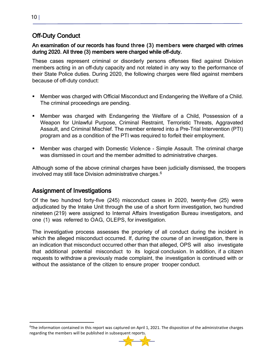## <span id="page-15-0"></span>Off-Duty Conduct

#### An examination of our records has found three (3) members were charged with crimes during 2020. All three (3) members were charged while off-duty.

These cases represent criminal or disorderly persons offenses filed against Division members acting in an off-duty capacity and not related in any way to the performance of their State Police duties. During 2020, the following charges were filed against members because of off-duty conduct:

- Member was charged with Official Misconduct and Endangering the Welfare of a Child. The criminal proceedings are pending.
- Member was charged with Endangering the Welfare of a Child, Possession of a Weapon for Unlawful Purpose, Criminal Restraint, Terroristic Threats, Aggravated Assault, and Criminal Mischief. The member entered into a Pre-Trial Intervention (PTI) program and as a condition of the PTI was required to forfeit their employment.
- Member was charged with Domestic Violence Simple Assault. The criminal charge was dismissed in court and the member admitted to administrative charges.

<span id="page-15-1"></span>Although some of the above criminal charges have been judicially dismissed, the troopers involved may still face Division administrative charges[.6](#page-15-2)

## Assignment of Investigations

Of the two hundred forty-five (245) misconduct cases in 2020, twenty-five (25) were adjudicated by the Intake Unit through the use of a short form investigation, two hundred nineteen (219) were assigned to Internal Affairs Investigation Bureau investigators, and one (1) was referred to OAG, OLEPS, for investigation.

The investigative process assesses the propriety of all conduct during the incident in which the alleged misconduct occurred. If, during the course of an investigation, there is an indication that misconduct occurred other than that alleged, OPS will also investigate that additional potential misconduct to its logical conclusion. In addition, if a citizen requests to withdraw a previously made complaint, the investigation is continued with or without the assistance of the citizen to ensure proper trooper conduct.

<span id="page-15-2"></span><sup>6</sup> The information contained in this report was captured on April 1, 2021. The disposition of the administrative charges regarding the members will be published in subsequent reports.

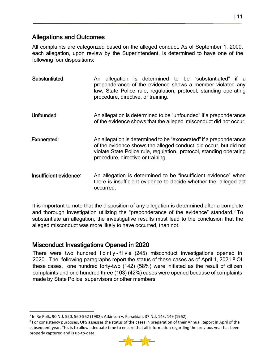## Allegations and Outcomes

<span id="page-16-0"></span>All complaints are categorized based on the alleged conduct. As of September 1, 2000, each allegation, upon review by the Superintendent, is determined to have one of the following four dispositions:

- Substantiated: An allegation is determined to be "substantiated" if a preponderance of the evidence shows a member violated any law, State Police rule, regulation, protocol, standing operating procedure, directive, or training. Unfounded: An allegation is determined to be "unfounded" if a preponderance of the evidence shows that the alleged misconduct did not occur. Exonerated: An allegation is determined to be "exonerated" if a preponderance
- of the evidence shows the alleged conduct did occur, but did not violate State Police rule, regulation, protocol, standing operating procedure, directive or training.
- Insufficient evidence: An allegation is determined to be "insufficient evidence" when there is insufficient evidence to decide whether the alleged act occurred.

It is important to note that the disposition of any allegation is determined after a complete and thorough investigation utilizing the "preponderance of the evidence" standard.<sup>[7](#page-16-2)</sup> To substantiate an allegation, the investigative results must lead to the conclusion that the alleged misconduct was more likely to have occurred, than not.

## <span id="page-16-1"></span>Misconduct Investigations Opened in 2020

There were two hundred forty - five (245) misconduct investigations opened in 2020. The following paragraphs report the status of these cases as of April 1, 2021.<sup>[8](#page-16-3)</sup> Of these cases, one hundred forty-two (142) (58%) were initiated as the result of citizen complaints and one hundred three (103) (42%) cases were opened because of complaints made by State Police supervisors or other members.

<span id="page-16-3"></span><sup>&</sup>lt;sup>8</sup> For consistency purposes, OPS assesses the status of the cases in preparation of their Annual Report in April of the subsequent year. This is to allow adequate time to ensure that all information regarding the previous year has been properly captured and is up-to-date.



<span id="page-16-2"></span><sup>7</sup> In Re Polk, 90 N.J. 550, 560-562 (1982); Atkinson v. Parsekian, 37 N.J. 143, 149 (1962).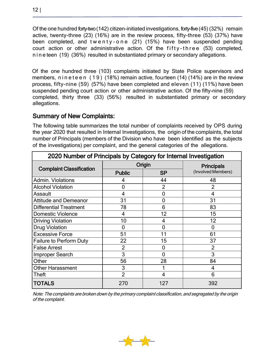Of the one hundred forty-two(142) citizen-initiated investigations, forty-five(45) (32%) remain active, twenty-three (23) (16%) are in the review process, fifty-three (53) (37%) have been completed, and twenty - one (21) (15%) have been suspended pending court action or other administrative action. Of the fifty - three (53) completed, nine teen (19) (36%) resulted in substantiated primary or secondary allegations.

Of the one hundred three (103) complaints initiated by State Police supervisors and members, nineteen (19) (18%) remain active, fourteen (14) (14%) are in the review process, fifty-nine (59) (57%) have been completed and eleven (11) (11%) have been suspended pending court action or other administrative action. Of the fifty-nine (59) completed, thirty three (33) (56%) resulted in substantiated primary or secondary allegations.

#### <span id="page-17-0"></span>Summary of New Complaints:

The following table summarizes the total number of complaints received by OPS during the year 2020 that resulted in Internal Investigations, the origin of the complaints, the total number of Principals (members of the Division who have been identified as the subjects of the investigations) per complaint, and the general categories of the allegations.

<span id="page-17-1"></span>

| 2020 Number of Principals by Category for Internal Investigation |                |                |                                         |  |
|------------------------------------------------------------------|----------------|----------------|-----------------------------------------|--|
|                                                                  |                | Origin         | <b>Principals</b><br>(Involved Members) |  |
| <b>Complaint Classification</b>                                  | <b>Public</b>  | <b>SP</b>      |                                         |  |
| <b>Admin. Violations</b>                                         | 4              | 44             | 48                                      |  |
| <b>Alcohol Violation</b>                                         | 0              | $\overline{2}$ | $\overline{2}$                          |  |
| Assault                                                          | 4              | $\overline{0}$ | 4                                       |  |
| <b>Attitude and Demeanor</b>                                     | 31             | 0              | 31                                      |  |
| <b>Differential Treatment</b>                                    | 78             | 6              | 83                                      |  |
| <b>Domestic Violence</b>                                         | 4              | 12             | 15                                      |  |
| <b>Driving Violation</b>                                         | 10             | 4              | 12                                      |  |
| <b>Drug Violation</b>                                            | 0              | 0              | $\mathbf 0$                             |  |
| <b>Excessive Force</b>                                           | 51             | 11             | 61                                      |  |
| <b>Failure to Perform Duty</b>                                   | 22             | 15             | 37                                      |  |
| <b>False Arrest</b>                                              | $\overline{2}$ | 0              | $\overline{2}$                          |  |
| Improper Search                                                  | 3              | $\Omega$       | 3                                       |  |
| Other                                                            | 56             | 28             | 84                                      |  |
| <b>Other Harassment</b>                                          | 3              |                | 4                                       |  |
| Theft                                                            | $\overline{2}$ | 4              | 6                                       |  |
| <b>TOTALS</b>                                                    | 270            | 127            | 392                                     |  |

Note: The complaints are broken down by the primary complaint classification, and segregated by the origin of the complaint.

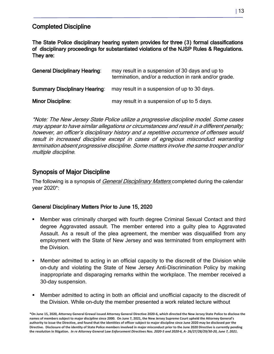#### Completed Discipline

The State Police disciplinary hearing system provides for three (3) formal classifications of disciplinary proceedings for substantiated violations of the NJSP Rules & Regulations. They are:

| <b>General Disciplinary Hearing:</b> | may result in a suspension of 30 days and up to<br>termination, and/or a reduction in rank and/or grade. |  |  |
|--------------------------------------|----------------------------------------------------------------------------------------------------------|--|--|
| <b>Summary Disciplinary Hearing:</b> | may result in a suspension of up to 30 days.                                                             |  |  |
| <b>Minor Discipline:</b>             | may result in a suspension of up to 5 days.                                                              |  |  |

\*Note: The New Jersey State Police utilize <sup>a</sup> progressive discipline model. Some cases may appear to have similar allegations or circumstances and result in <sup>a</sup> different penalty; however, an officer's disciplinary history and <sup>a</sup> repetitive occurrence of offenses would result in increased discipline except in cases of egregious misconduct warranting termination absent progressive discipline. Some matters involve the same trooper and/or multiple discipline.

### <span id="page-18-0"></span>Synopsis of Major Discipline

The following is a synopsis of *General Disciplinary Matters* completed during the calendar year 2020\*:

#### General Disciplinary Matters Prior to June 15, 2020

- Member was criminally charged with fourth degree Criminal Sexual Contact and third degree Aggravated assault. The member entered into a guilty plea to Aggravated Assault. As a result of the plea agreement, the member was disqualified from any employment with the State of New Jersey and was terminated from employment with the Division.
- Member admitted to acting in an official capacity to the discredit of the Division while on-duty and violating the State of New Jersey Anti-Discrimination Policy by making inappropriate and disparaging remarks within the workplace. The member received a 30-day suspension.
- Member admitted to acting in both an official and unofficial capacity to the discredit of the Division. While on-duty the member presented a work related lecture without

**\*On June 15, 2020, Attorney General Grewal issued Attorney General Directive 2020-6, which directed the New Jersey State Police to disclose the names of members subject to major discipline since 2000. On June 7, 2021, the New Jersey Supreme Court upheld the Attorney General's authority to issue the Directive, and found that the identities of officer subject to major discipline since June 2020 may be disclosed per the Directive. Disclosure of the identity of State Police members involved in major misconduct prior to the June 2020 Directive is currently pending the resolution in litigation.** *In re Attorney General Law Enforcement Directives Nos. 2020-5 and 2020-6, A- 26/27/28/29/30-20, June 7, 2021.*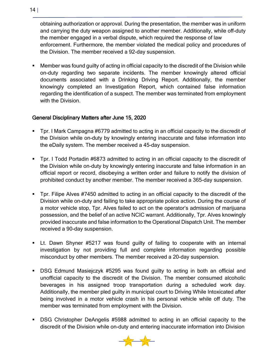obtaining authorization or approval. During the presentation, the member was in uniform and carrying the duty weapon assigned to another member. Additionally, while off-duty the member engaged in a verbal dispute, which required the response of law enforcement. Furthermore, the member violated the medical policy and procedures of the Division. The member received a 92-day suspension.

 Member was found guilty of acting in official capacity to the discredit of the Division while on-duty regarding two separate incidents. The member knowingly altered official documents associated with a Drinking Driving Report. Additionally, the member knowingly completed an Investigation Report, which contained false information regarding the identification of a suspect. The member was terminated from employment with the Division.

#### General Disciplinary Matters after June 15, 2020

- Tpr. I Mark Campagna #6779 admitted to acting in an official capacity to the discredit of the Division while on-duty by knowingly entering inaccurate and false information into the eDaily system. The member received a 45-day suspension.
- Tpr. I Todd Portadin #6873 admitted to acting in an official capacity to the discredit of the Division while on-duty by knowingly entering inaccurate and false information in an official report or record, disobeying a written order and failure to notify the division of prohibited conduct by another member. The member received a 365-day suspension.
- **Tem** Tpr. Filipe Alves #7450 admitted to acting in an official capacity to the discredit of the Division while on-duty and failing to take appropriate police action. During the course of a motor vehicle stop, Tpr. Alves failed to act on the operator's admission of marijuana possession, and the belief of an active NCIC warrant. Additionally, Tpr. Alves knowingly provided inaccurate and false information to the Operational Dispatch Unit. The member received a 90-day suspension.
- Lt. Dawn Shyner #5217 was found guilty of failing to cooperate with an internal investigation by not providing full and complete information regarding possible misconduct by other members. The member received a 20-day suspension.
- DSG Edmund Masiejczyk #5295 was found guilty to acting in both an official and unofficial capacity to the discredit of the Division. The member consumed alcoholic beverages in his assigned troop transportation during a scheduled work day. Additionally, the member pled guilty in municipal court to Driving While Intoxicated after being involved in a motor vehicle crash in his personal vehicle while off duty. The member was terminated from employment with the Division.
- DSG Christopher DeAngelis #5988 admitted to acting in an official capacity to the discredit of the Division while on-duty and entering inaccurate information into Division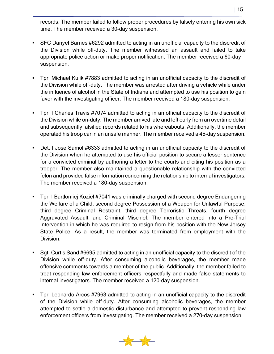records. The member failed to follow proper procedures by falsely entering his own sick time. The member received a 30-day suspension.

- SFC Danyel Barnes #6292 admitted to acting in an unofficial capacity to the discredit of the Division while off-duty. The member witnessed an assault and failed to take appropriate police action or make proper notification. The member received a 60-day suspension.
- Tpr. Michael Kulik #7883 admitted to acting in an unofficial capacity to the discredit of the Division while off-duty. The member was arrested after driving a vehicle while under the influence of alcohol in the State of Indiana and attempted to use his position to gain favor with the investigating officer. The member received a 180-day suspension.
- Tpr. I Charles Travis #7074 admitted to acting in an official capacity to the discredit of the Division while on-duty. The member arrived late and left early from an overtime detail and subsequently falsified records related to his whereabouts. Additionally, the member operated his troop car in an unsafe manner. The member received a 45-day suspension.
- Det. I Jose Samol #6333 admitted to acting in an unofficial capacity to the discredit of the Division when he attempted to use his official position to secure a lesser sentence for a convicted criminal by authoring a letter to the courts and citing his position as a trooper. The member also maintained a questionable relationship with the convicted felon and provided false information concerning the relationship to internal investigators. The member received a 180-day suspension.
- Tpr. I Bartlomiej Koziel #7041 was criminally charged with second degree Endangering the Welfare of a Child, second degree Possession of a Weapon for Unlawful Purpose, third degree Criminal Restraint, third degree Terroristic Threats, fourth degree Aggravated Assault, and Criminal Mischief. The member entered into a Pre-Trial Intervention in which he was required to resign from his position with the New Jersey State Police. As a result, the member was terminated from employment with the Division.
- Sgt. Curtis Sand #6695 admitted to acting in an unofficial capacity to the discredit of the Division while off-duty. After consuming alcoholic beverages, the member made offensive comments towards a member of the public. Additionally, the member failed to treat responding law enforcement officers respectfully and made false statements to internal investigators. The member received a 120-day suspension.
- Tpr. Leonardo Arcos #7963 admitted to acting in an unofficial capacity to the discredit of the Division while off-duty. After consuming alcoholic beverages, the member attempted to settle a domestic disturbance and attempted to prevent responding law enforcement officers from investigating. The member received a 270-day suspension.

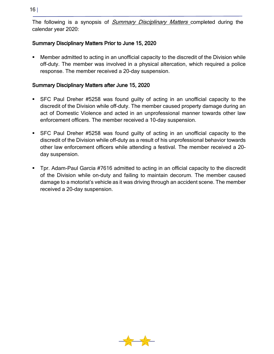The following is a synopsis of *Summary Disciplinary Matters* completed during the calendar year 2020:

#### Summary Disciplinary Matters Prior to June 15, 2020

 Member admitted to acting in an unofficial capacity to the discredit of the Division while off-duty. The member was involved in a physical altercation, which required a police response. The member received a 20-day suspension.

#### Summary Disciplinary Matters after June 15, 2020

- SFC Paul Dreher #5258 was found guilty of acting in an unofficial capacity to the discredit of the Division while off-duty. The member caused property damage during an act of Domestic Violence and acted in an unprofessional manner towards other law enforcement officers. The member received a 10-day suspension.
- SFC Paul Dreher #5258 was found guilty of acting in an unofficial capacity to the discredit of the Division while off-duty as a result of his unprofessional behavior towards other law enforcement officers while attending a festival. The member received a 20 day suspension.
- Tpr. Adam-Paul Garcia #7616 admitted to acting in an official capacity to the discredit of the Division while on-duty and failing to maintain decorum. The member caused damage to a motorist's vehicle as it was driving through an accident scene. The member received a 20-day suspension.

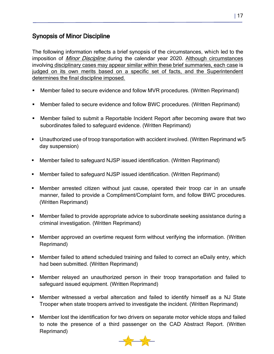## <span id="page-22-0"></span>Synopsis of Minor Discipline

The following information reflects a brief synopsis of the circumstances, which led to the imposition of *Minor Discipline* during the calendar year 2020. Although circumstances involving disciplinary cases may appear similar within these brief summaries, each case is judged on its own merits based on a specific set of facts, and the Superintendent determines the final discipline imposed.

- Member failed to secure evidence and follow MVR procedures. (Written Reprimand)
- Member failed to secure evidence and follow BWC procedures. (Written Reprimand)
- Member failed to submit a Reportable Incident Report after becoming aware that two subordinates failed to safeguard evidence. (Written Reprimand)
- Unauthorized use of troop transportation with accident involved. (Written Reprimand w/5 day suspension)
- Member failed to safeguard NJSP issued identification. (Written Reprimand)
- Member failed to safeguard NJSP issued identification. (Written Reprimand)
- Member arrested citizen without just cause, operated their troop car in an unsafe manner, failed to provide a Compliment/Complaint form, and follow BWC procedures. (Written Reprimand)
- Member failed to provide appropriate advice to subordinate seeking assistance during a criminal investigation. (Written Reprimand)
- Member approved an overtime request form without verifying the information. (Written Reprimand)
- Member failed to attend scheduled training and failed to correct an eDaily entry, which had been submitted. (Written Reprimand)
- Member relayed an unauthorized person in their troop transportation and failed to safeguard issued equipment. (Written Reprimand)
- Member witnessed a verbal altercation and failed to identify himself as a NJ State Trooper when state troopers arrived to investigate the incident. (Written Reprimand)
- Member lost the identification for two drivers on separate motor vehicle stops and failed to note the presence of a third passenger on the CAD Abstract Report. (Written Reprimand)

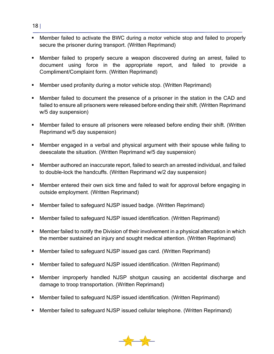- Member failed to activate the BWC during a motor vehicle stop and failed to properly secure the prisoner during transport. (Written Reprimand)
- Member failed to properly secure a weapon discovered during an arrest, failed to document using force in the appropriate report, and failed to provide a Compliment/Complaint form. (Written Reprimand)
- Member used profanity during a motor vehicle stop. (Written Reprimand)
- Member failed to document the presence of a prisoner in the station in the CAD and failed to ensure all prisoners were released before ending their shift. (Written Reprimand w/5 day suspension)
- Member failed to ensure all prisoners were released before ending their shift. (Written Reprimand w/5 day suspension)
- Member engaged in a verbal and physical argument with their spouse while failing to deescalate the situation. (Written Reprimand w/5 day suspension)
- Member authored an inaccurate report, failed to search an arrested individual, and failed to double-lock the handcuffs. (Written Reprimand w/2 day suspension)
- Member entered their own sick time and failed to wait for approval before engaging in outside employment. (Written Reprimand)
- Member failed to safeguard NJSP issued badge. (Written Reprimand)
- Member failed to safeguard NJSP issued identification. (Written Reprimand)
- Member failed to notify the Division of their involvement in a physical altercation in which the member sustained an injury and sought medical attention. (Written Reprimand)
- Member failed to safeguard NJSP issued gas card. (Written Reprimand)
- Member failed to safeguard NJSP issued identification. (Written Reprimand)
- Member improperly handled NJSP shotgun causing an accidental discharge and damage to troop transportation. (Written Reprimand)
- Member failed to safeguard NJSP issued identification. (Written Reprimand)
- Member failed to safeguard NJSP issued cellular telephone. (Written Reprimand)

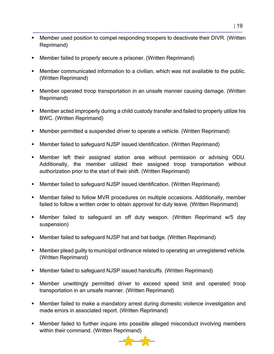- Member used position to compel responding troopers to deactivate their DIVR. (Written Reprimand)
- Member failed to properly secure a prisoner. (Written Reprimand)
- Member communicated information to a civilian, which was not available to the public. (Written Reprimand)
- Member operated troop transportation in an unsafe manner causing damage. (Written Reprimand)
- Member acted improperly during a child custody transfer and failed to properly utilize his BWC. (Written Reprimand)
- Member permitted a suspended driver to operate a vehicle. (Written Reprimand)
- Member failed to safeguard NJSP issued identification. (Written Reprimand)
- Member left their assigned station area without permission or advising ODU. Additionally, the member utilized their assigned troop transportation without authorization prior to the start of their shift. (Written Reprimand)
- Member failed to safeguard NJSP issued identification. (Written Reprimand)
- Member failed to follow MVR procedures on multiple occasions. Additionally, member failed to follow a written order to obtain approval for duty leave. (Written Reprimand)
- Member failed to safeguard an off duty weapon. (Written Reprimand w/5 day suspension)
- Member failed to safeguard NJSP hat and hat badge. (Written Reprimand)
- Member plead guilty to municipal ordinance related to operating an unregistered vehicle. (Written Reprimand)
- Member failed to safeguard NJSP issued handcuffs. (Written Reprimand)
- Member unwittingly permitted driver to exceed speed limit and operated troop transportation in an unsafe manner. (Written Reprimand)
- Member failed to make a mandatory arrest during domestic violence investigation and made errors in associated report. (Written Reprimand)
- Member failed to further inquire into possible alleged misconduct involving members within their command. (Written Reprimand)

| 19

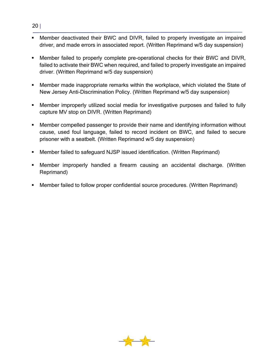- Member deactivated their BWC and DIVR, failed to properly investigate an impaired driver, and made errors in associated report. (Written Reprimand w/5 day suspension)
- Member failed to properly complete pre-operational checks for their BWC and DIVR, failed to activate their BWC when required, and failed to properly investigate an impaired driver. (Written Reprimand w/5 day suspension)
- Member made inappropriate remarks within the workplace, which violated the State of New Jersey Anti-Discrimination Policy. (Written Reprimand w/5 day suspension)
- Member improperly utilized social media for investigative purposes and failed to fully capture MV stop on DIVR. (Written Reprimand)
- Member compelled passenger to provide their name and identifying information without cause, used foul language, failed to record incident on BWC, and failed to secure prisoner with a seatbelt. (Written Reprimand w/5 day suspension)
- Member failed to safeguard NJSP issued identification. (Written Reprimand)
- Member improperly handled a firearm causing an accidental discharge. (Written Reprimand)
- Member failed to follow proper confidential source procedures. (Written Reprimand)



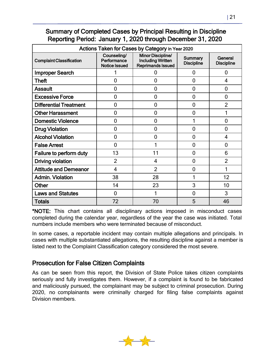| Actions Taken for Cases by Category in Year 2020 |                                                    |                                                                                  |                                     |                              |  |
|--------------------------------------------------|----------------------------------------------------|----------------------------------------------------------------------------------|-------------------------------------|------------------------------|--|
| <b>Complaint Classification</b>                  | Counseling/<br>Performance<br><b>Notice Issued</b> | <b>Minor Discipline/</b><br><b>Including Written</b><br><b>Reprimands Issued</b> | <b>Summary</b><br><b>Discipline</b> | General<br><b>Discipline</b> |  |
| <b>Improper Search</b>                           |                                                    | O                                                                                | 0                                   | 0                            |  |
| <b>Theft</b>                                     | 0                                                  | 0                                                                                | 0                                   | 4                            |  |
| <b>Assault</b>                                   | 0                                                  | 0                                                                                | $\overline{0}$                      | 0                            |  |
| <b>Excessive Force</b>                           | $\overline{0}$                                     | $\overline{0}$                                                                   | $\overline{0}$                      | $\overline{0}$               |  |
| <b>Differential Treatment</b>                    | 0                                                  | 0                                                                                | $\overline{0}$                      | $\overline{2}$               |  |
| <b>Other Harassment</b>                          | $\overline{0}$                                     | 0                                                                                | $\overline{0}$                      |                              |  |
| <b>Domestic Violence</b>                         | 0                                                  | 0                                                                                |                                     | 0                            |  |
| <b>Drug Violation</b>                            | $\overline{0}$                                     | 0                                                                                | $\overline{0}$                      | 0                            |  |
| <b>Alcohol Violation</b>                         | 0                                                  | 0                                                                                | 0                                   | 4                            |  |
| <b>False Arrest</b>                              | $\overline{0}$                                     |                                                                                  | $\overline{0}$                      | 0                            |  |
| Failure to perform duty                          | 13                                                 | 11                                                                               | $\overline{0}$                      | 6                            |  |
| <b>Driving violation</b>                         | $\overline{2}$                                     | 4                                                                                | $\overline{0}$                      | $\overline{2}$               |  |
| <b>Attitude and Demeanor</b>                     | 4                                                  | $\overline{2}$                                                                   | 0                                   |                              |  |
| <b>Admin. Violation</b>                          | 38                                                 | 28                                                                               |                                     | 12                           |  |
| <b>Other</b>                                     | 14                                                 | 23                                                                               | 3                                   | 10                           |  |
| <b>Laws and Statutes</b>                         | 0                                                  |                                                                                  | 0                                   | 3                            |  |
| <b>Totals</b>                                    | 72                                                 | 70                                                                               | 5                                   | 46                           |  |

## Summary of Completed Cases by Principal Resulting in Discipline Reporting Period: January 1, 2020 through December 31, 2020

\*NOTE: This chart contains all disciplinary actions imposed in misconduct cases completed during the calendar year, regardless of the year the case was initiated. Total numbers include members who were terminated because of misconduct.

In some cases, a reportable incident may contain multiple allegations and principals. In cases with multiple substantiated allegations, the resulting discipline against a member is listed next to the Complaint Classification category considered the most severe.

## <span id="page-26-0"></span>Prosecution for False Citizen Complaints

As can be seen from this report, the Division of State Police takes citizen complaints seriously and fully investigates them. However, if a complaint is found to be fabricated and maliciously pursued, the complainant may be subject to criminal prosecution. During 2020, no complainants were criminally charged for filing false complaints against Division members.

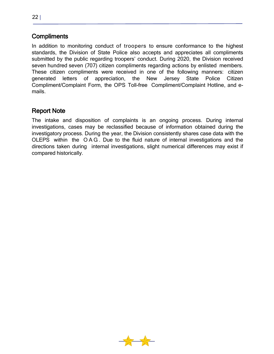### <span id="page-27-0"></span>**Compliments**

In addition to monitoring conduct of troopers to ensure conformance to the highest standards, the Division of State Police also accepts and appreciates all compliments submitted by the public regarding troopers' conduct. During 2020, the Division received seven hundred seven (707) citizen compliments regarding actions by enlisted members. These citizen compliments were received in one of the following manners: citizen generated letters of appreciation, the New Jersey State Police Citizen Compliment/Complaint Form, the OPS Toll-free Compliment/Complaint Hotline, and emails.

### <span id="page-27-2"></span>Report Note

<span id="page-27-1"></span>The intake and disposition of complaints is an ongoing process. During internal investigations, cases may be reclassified because of information obtained during the investigatory process. During the year, the Division consistently shares case data with the OLEPS within the OAG . Due to the fluid nature of internal investigations and the directions taken during internal investigations, slight numerical differences may exist if compared historically.

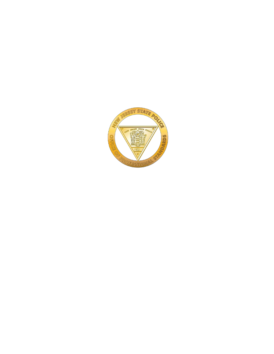